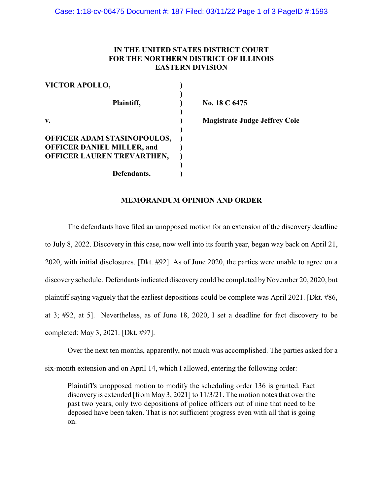## **IN THE UNITED STATES DISTRICT COURT FOR THE NORTHERN DISTRICT OF ILLINOIS EASTERN DIVISION**

| <b>VICTOR APOLLO,</b>             |  |
|-----------------------------------|--|
|                                   |  |
| Plaintiff,                        |  |
|                                   |  |
| $\mathbf{v}$ .                    |  |
|                                   |  |
| OFFICER ADAM STASINOPOULOS,       |  |
| <b>OFFICER DANIEL MILLER, and</b> |  |
| <b>OFFICER LAUREN TREVARTHEN,</b> |  |
|                                   |  |
| Defendants.                       |  |

**Plaintiff, ) No. 18 C 6475**

**v. ) Magistrate Judge Jeffrey Cole**

## **MEMORANDUM OPINION AND ORDER**

The defendants have filed an unopposed motion for an extension of the discovery deadline to July 8, 2022. Discovery in this case, now well into its fourth year, began way back on April 21, 2020, with initial disclosures. [Dkt. #92]. As of June 2020, the parties were unable to agree on a discovery schedule. Defendants indicated discovery could be completed by November 20, 2020, but plaintiff saying vaguely that the earliest depositions could be complete was April 2021. [Dkt. #86, at 3; #92, at 5]. Nevertheless, as of June 18, 2020, I set a deadline for fact discovery to be completed: May 3, 2021. [Dkt. #97].

Over the next ten months, apparently, not much was accomplished. The parties asked for a six-month extension and on April 14, which I allowed, entering the following order:

Plaintiff's unopposed motion to modify the scheduling order 136 is granted. Fact discovery is extended [from May 3, 2021] to 11/3/21. The motion notes that over the past two years, only two depositions of police officers out of nine that need to be deposed have been taken. That is not sufficient progress even with all that is going on.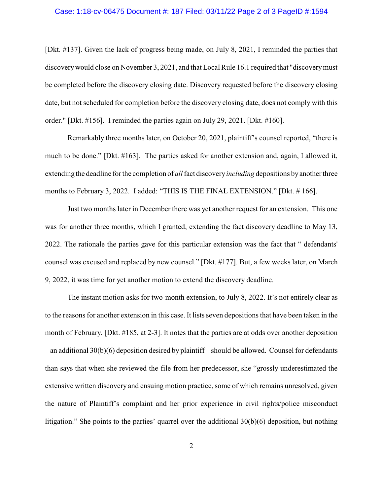## Case: 1:18-cv-06475 Document #: 187 Filed: 03/11/22 Page 2 of 3 PageID #:1594

[Dkt. #137]. Given the lack of progress being made, on July 8, 2021, I reminded the parties that discoverywould close on November 3, 2021, and that Local Rule 16.1 required that "discoverymust be completed before the discovery closing date. Discovery requested before the discovery closing date, but not scheduled for completion before the discovery closing date, does not comply with this order." [Dkt. #156]. I reminded the parties again on July 29, 2021. [Dkt. #160].

Remarkably three months later, on October 20, 2021, plaintiff's counsel reported, "there is much to be done." [Dkt. #163]. The parties asked for another extension and, again, I allowed it, extending the deadline for the completion of *all*fact discovery*including* depositions byanother three months to February 3, 2022. I added: "THIS IS THE FINAL EXTENSION." [Dkt. # 166].

Just two months later in December there was yet another request for an extension. This one was for another three months, which I granted, extending the fact discovery deadline to May 13, 2022. The rationale the parties gave for this particular extension was the fact that " defendants' counsel was excused and replaced by new counsel." [Dkt. #177]. But, a few weeks later, on March 9, 2022, it was time for yet another motion to extend the discovery deadline.

The instant motion asks for two-month extension, to July 8, 2022. It's not entirely clear as to the reasons for another extension in this case. It lists seven depositions that have been taken in the month of February. [Dkt. #185, at 2-3]. It notes that the parties are at odds over another deposition – an additional 30(b)(6) deposition desired by plaintiff – should be allowed. Counsel for defendants than says that when she reviewed the file from her predecessor, she "grossly underestimated the extensive written discovery and ensuing motion practice, some of which remains unresolved, given the nature of Plaintiff's complaint and her prior experience in civil rights/police misconduct litigation." She points to the parties' quarrel over the additional 30(b)(6) deposition, but nothing